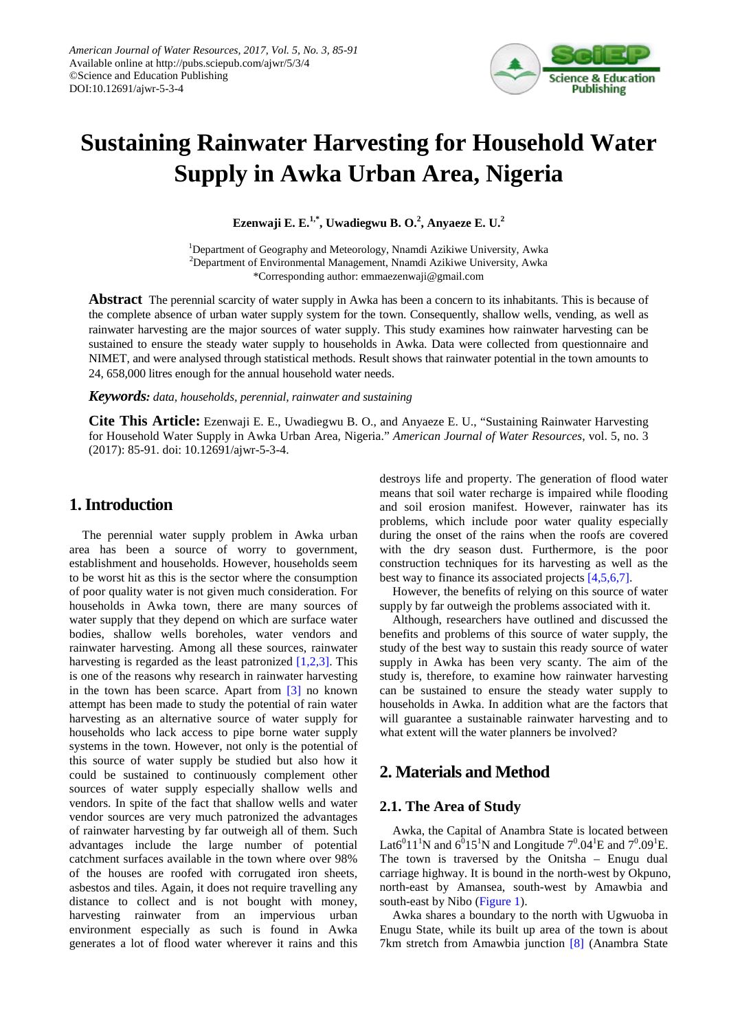

# **Sustaining Rainwater Harvesting for Household Water Supply in Awka Urban Area, Nigeria**

**Ezenwaji E. E.1,\*, Uwadiegwu B. O.<sup>2</sup> , Anyaeze E. U.<sup>2</sup>**

<sup>1</sup>Department of Geography and Meteorology, Nnamdi Azikiwe University, Awka  $^{2}$ Department of Environmental Management, Nnamdi Azikiwe University, Awka \*Corresponding author: emmaezenwaji@gmail.com

**Abstract** The perennial scarcity of water supply in Awka has been a concern to its inhabitants. This is because of the complete absence of urban water supply system for the town. Consequently, shallow wells, vending, as well as rainwater harvesting are the major sources of water supply. This study examines how rainwater harvesting can be sustained to ensure the steady water supply to households in Awka. Data were collected from questionnaire and NIMET, and were analysed through statistical methods. Result shows that rainwater potential in the town amounts to 24, 658,000 litres enough for the annual household water needs.

*Keywords: data, households, perennial, rainwater and sustaining*

**Cite This Article:** Ezenwaji E. E., Uwadiegwu B. O., and Anyaeze E. U., "Sustaining Rainwater Harvesting for Household Water Supply in Awka Urban Area, Nigeria." *American Journal of Water Resources*, vol. 5, no. 3 (2017): 85-91. doi: 10.12691/ajwr-5-3-4.

## **1. Introduction**

The perennial water supply problem in Awka urban area has been a source of worry to government, establishment and households. However, households seem to be worst hit as this is the sector where the consumption of poor quality water is not given much consideration. For households in Awka town, there are many sources of water supply that they depend on which are surface water bodies, shallow wells boreholes, water vendors and rainwater harvesting. Among all these sources, rainwater harvesting is regarded as the least patronized [\[1,2,3\].](#page-6-0) This is one of the reasons why research in rainwater harvesting in the town has been scarce. Apart from [\[3\]](#page-6-1) no known attempt has been made to study the potential of rain water harvesting as an alternative source of water supply for households who lack access to pipe borne water supply systems in the town. However, not only is the potential of this source of water supply be studied but also how it could be sustained to continuously complement other sources of water supply especially shallow wells and vendors. In spite of the fact that shallow wells and water vendor sources are very much patronized the advantages of rainwater harvesting by far outweigh all of them. Such advantages include the large number of potential catchment surfaces available in the town where over 98% of the houses are roofed with corrugated iron sheets, asbestos and tiles. Again, it does not require travelling any distance to collect and is not bought with money, harvesting rainwater from an impervious urban environment especially as such is found in Awka generates a lot of flood water wherever it rains and this destroys life and property. The generation of flood water means that soil water recharge is impaired while flooding and soil erosion manifest. However, rainwater has its problems, which include poor water quality especially during the onset of the rains when the roofs are covered with the dry season dust. Furthermore, is the poor construction techniques for its harvesting as well as the best way to finance its associated projects [\[4,5,6,7\].](#page-6-2)

However, the benefits of relying on this source of water supply by far outweigh the problems associated with it.

Although, researchers have outlined and discussed the benefits and problems of this source of water supply, the study of the best way to sustain this ready source of water supply in Awka has been very scanty. The aim of the study is, therefore, to examine how rainwater harvesting can be sustained to ensure the steady water supply to households in Awka. In addition what are the factors that will guarantee a sustainable rainwater harvesting and to what extent will the water planners be involved?

# **2. Materials and Method**

#### **2.1. The Area of Study**

Awka, the Capital of Anambra State is located between Lat6<sup>0</sup>11<sup>1</sup>N and 6<sup>0</sup>15<sup>1</sup>N and Longitude  $7^0.04^1$ E and  $7^0.09^1$ E. The town is traversed by the Onitsha – Enugu dual carriage highway. It is bound in the north-west by Okpuno, north-east by Amansea, south-west by Amawbia and south-east by Nibo [\(Figure 1\)](#page-1-0).

Awka shares a boundary to the north with Ugwuoba in Enugu State, while its built up area of the town is about 7km stretch from Amawbia junction [\[8\]](#page-6-3) (Anambra State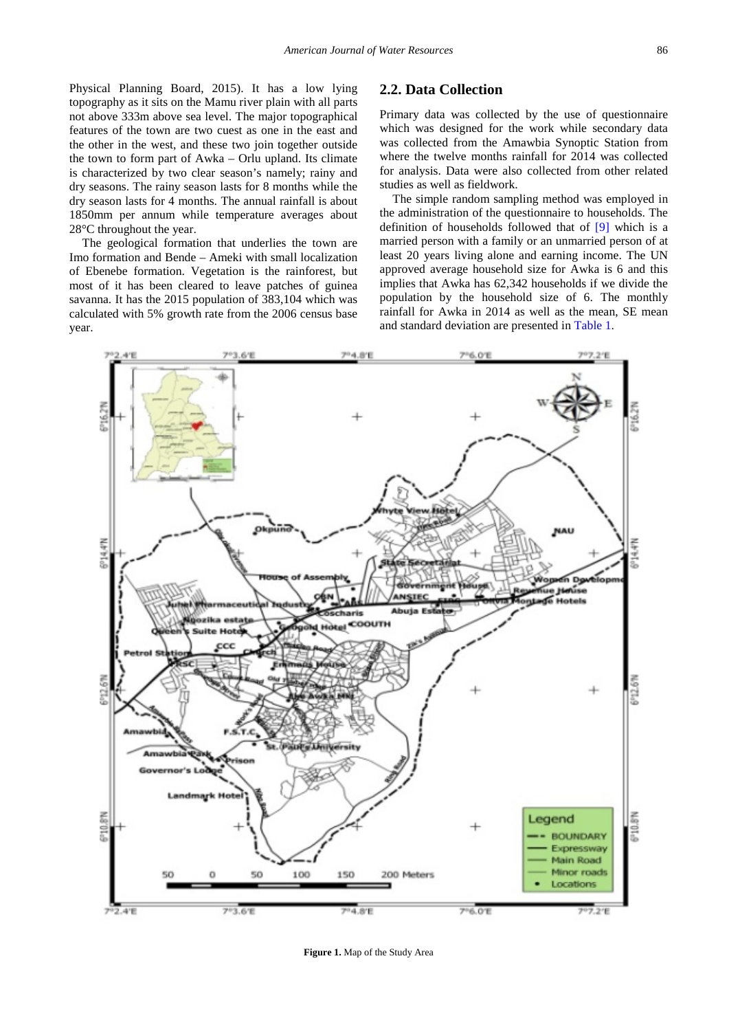Physical Planning Board, 2015). It has a low lying topography as it sits on the Mamu river plain with all parts not above 333m above sea level. The major topographical features of the town are two cuest as one in the east and the other in the west, and these two join together outside the town to form part of Awka – Orlu upland. Its climate is characterized by two clear season's namely; rainy and dry seasons. The rainy season lasts for 8 months while the dry season lasts for 4 months. The annual rainfall is about 1850mm per annum while temperature averages about 28°C throughout the year.

The geological formation that underlies the town are Imo formation and Bende – Ameki with small localization of Ebenebe formation. Vegetation is the rainforest, but most of it has been cleared to leave patches of guinea savanna. It has the 2015 population of 383,104 which was calculated with 5% growth rate from the 2006 census base year.

#### **2.2. Data Collection**

Primary data was collected by the use of questionnaire which was designed for the work while secondary data was collected from the Amawbia Synoptic Station from where the twelve months rainfall for 2014 was collected for analysis. Data were also collected from other related studies as well as fieldwork.

The simple random sampling method was employed in the administration of the questionnaire to households. The definition of households followed that of [\[9\]](#page-6-4) which is a married person with a family or an unmarried person of at least 20 years living alone and earning income. The UN approved average household size for Awka is 6 and this implies that Awka has 62,342 households if we divide the population by the household size of 6. The monthly rainfall for Awka in 2014 as well as the mean, SE mean and standard deviation are presented in [Table 1.](#page-2-0)

<span id="page-1-0"></span>

**Figure 1.** Map of the Study Area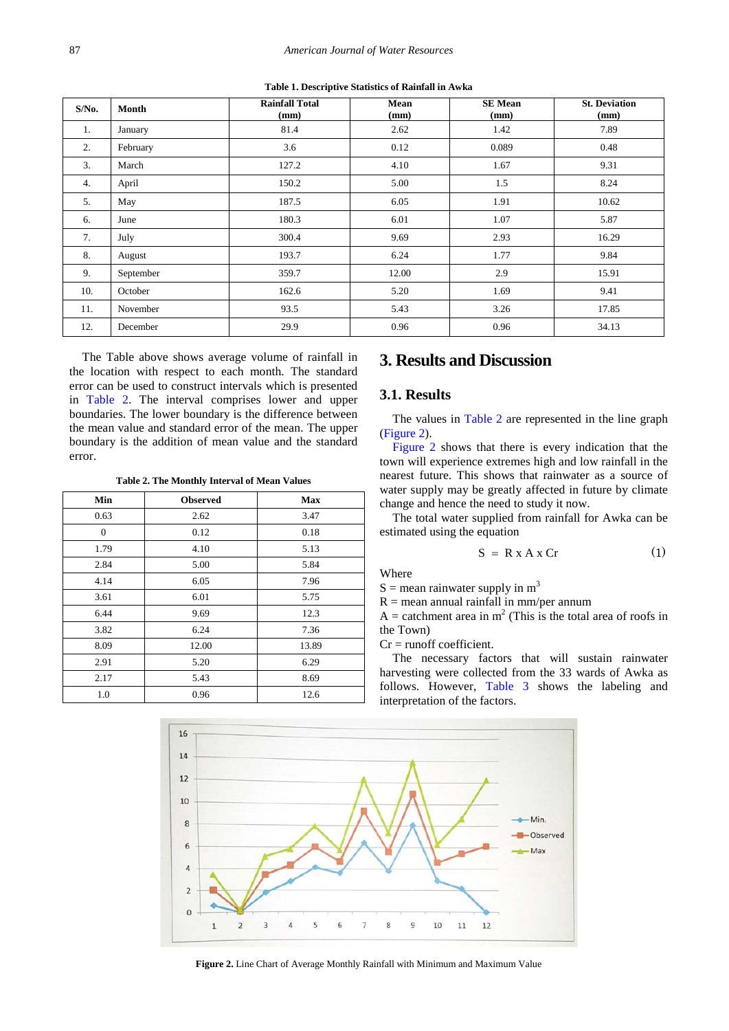| Table 1. Descriptive Statistics of Rainfall in Awka |  |  |
|-----------------------------------------------------|--|--|
|-----------------------------------------------------|--|--|

<span id="page-2-0"></span>

| $S/N0$ . | Month     | <b>Rainfall Total</b><br>(mm) | Mean<br>(mm) | <b>SE</b> Mean<br>(mm) | <b>St. Deviation</b><br>(mm) |
|----------|-----------|-------------------------------|--------------|------------------------|------------------------------|
| 1.       | January   | 81.4                          | 2.62         | 1.42                   | 7.89                         |
| 2.       | February  | 3.6                           | 0.12         | 0.089                  | 0.48                         |
| 3.       | March     | 127.2                         | 4.10         | 1.67                   | 9.31                         |
| 4.       | April     | 150.2                         | 5.00         | 1.5                    | 8.24                         |
| 5.       | May       | 187.5                         | 6.05         | 1.91                   | 10.62                        |
| 6.       | June      | 180.3                         | 6.01         | 1.07                   | 5.87                         |
| 7.       | July      | 300.4                         | 9.69         | 2.93                   | 16.29                        |
| 8.       | August    | 193.7                         | 6.24         | 1.77                   | 9.84                         |
| 9.       | September | 359.7                         | 12.00        | 2.9                    | 15.91                        |
| 10.      | October   | 162.6                         | 5.20         | 1.69                   | 9.41                         |
| 11.      | November  | 93.5                          | 5.43         | 3.26                   | 17.85                        |
| 12.      | December  | 29.9                          | 0.96         | 0.96                   | 34.13                        |

The Table above shows average volume of rainfall in the location with respect to each month. The standard error can be used to construct intervals which is presented in [Table 2.](#page-2-1) The interval comprises lower and upper boundaries. The lower boundary is the difference between the mean value and standard error of the mean. The upper boundary is the addition of mean value and the standard error.

**Table 2. The Monthly Interval of Mean Values**

<span id="page-2-1"></span>

| Min            | <b>Observed</b> | Max   |
|----------------|-----------------|-------|
| 0.63           | 2.62            | 3.47  |
| $\overline{0}$ | 0.12            | 0.18  |
| 1.79           | 4.10            | 5.13  |
| 2.84           | 5.00            | 5.84  |
| 4.14           | 6.05            | 7.96  |
| 3.61           | 6.01            | 5.75  |
| 6.44           | 9.69            | 12.3  |
| 3.82           | 6.24            | 7.36  |
| 8.09           | 12.00           | 13.89 |
| 2.91           | 5.20            | 6.29  |
| 2.17           | 5.43            | 8.69  |
| 1.0            | 0.96            | 12.6  |

# **3. Results and Discussion**

### **3.1. Results**

The values in [Table 2](#page-2-1) are represented in the line graph [\(Figure 2\)](#page-2-2).

[Figure 2](#page-2-2) shows that there is every indication that the town will experience extremes high and low rainfall in the nearest future. This shows that rainwater as a source of water supply may be greatly affected in future by climate change and hence the need to study it now.

The total water supplied from rainfall for Awka can be estimated using the equation

$$
S = R x A x C r \tag{1}
$$

Where

 $S =$  mean rainwater supply in  $m<sup>3</sup>$ 

 $R =$  mean annual rainfall in mm/per annum

A = catchment area in  $m<sup>2</sup>$  (This is the total area of roofs in the Town)

 $Cr =$  runoff coefficient.

The necessary factors that will sustain rainwater harvesting were collected from the 33 wards of Awka as follows. However, [Table 3](#page-3-0) shows the labeling and interpretation of the factors.

<span id="page-2-2"></span>

**Figure 2.** Line Chart of Average Monthly Rainfall with Minimum and Maximum Value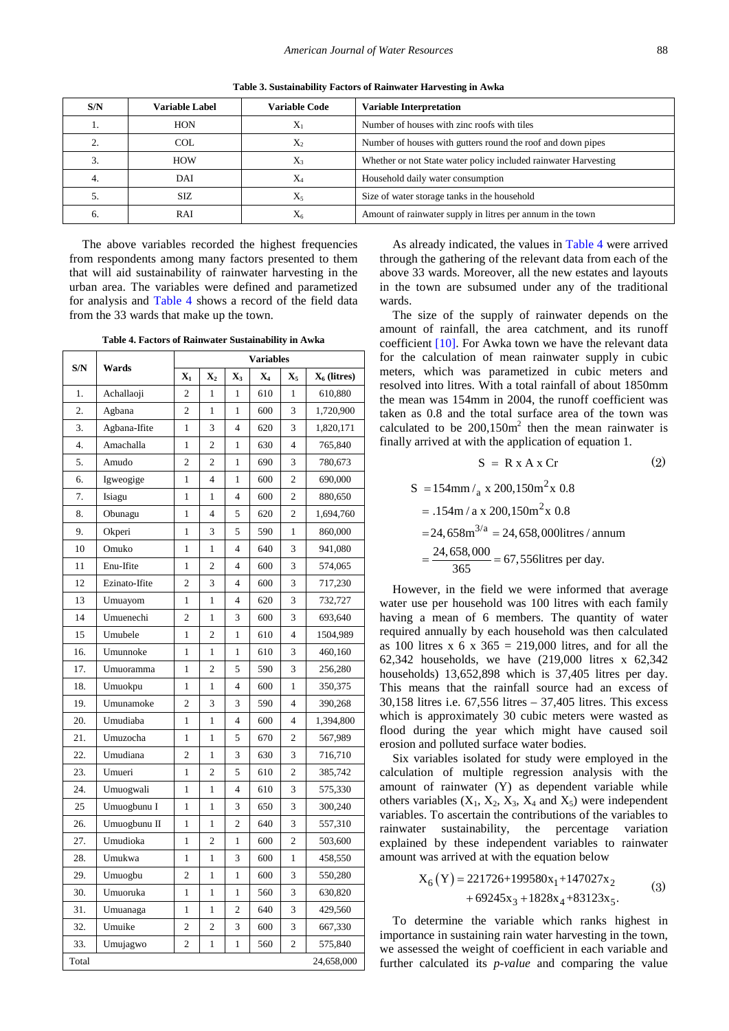**Table 3. Sustainability Factors of Rainwater Harvesting in Awka**

<span id="page-3-0"></span>

| S/N | <b>Variable Label</b> | <b>Variable Code</b> | <b>Variable Interpretation</b>                                  |  |
|-----|-----------------------|----------------------|-----------------------------------------------------------------|--|
|     | <b>HON</b>            | X                    | Number of houses with zinc roofs with tiles                     |  |
|     | COL.                  | X <sub>2</sub>       | Number of houses with gutters round the roof and down pipes     |  |
|     | <b>HOW</b>            | $X_3$                | Whether or not State water policy included rainwater Harvesting |  |
|     | DAI                   | X,                   | Household daily water consumption                               |  |
|     | SIZ                   | $X_5$                | Size of water storage tanks in the household                    |  |
|     | RAI                   | X6                   | Amount of rainwater supply in litres per annum in the town      |  |

The above variables recorded the highest frequencies from respondents among many factors presented to them that will aid sustainability of rainwater harvesting in the urban area. The variables were defined and parametized for analysis and [Table 4](#page-3-1) shows a record of the field data from the 33 wards that make up the town.

**Table 4. Factors of Rainwater Sustainability in Awka**

<span id="page-3-1"></span>

| S/N   | Wards         | Variables        |                         |                         |       |                         |                         |
|-------|---------------|------------------|-------------------------|-------------------------|-------|-------------------------|-------------------------|
|       |               | $\mathbf{X}_1$   | $\mathbf{X}_2$          | $\mathbf{X}_3$          | $X_4$ | $\mathbf{X}_5$          | X <sub>6</sub> (litres) |
| 1.    | Achallaoji    | $\overline{2}$   | $\mathbf{1}$            | 1                       | 610   | $\mathbf{1}$            | 610,880                 |
| 2.    | Agbana        | $\overline{c}$   | $\mathbf{1}$            | 1                       | 600   | 3                       | 1,720,900               |
| 3.    | Agbana-Ifite  | $\mathbf{1}$     | $\overline{3}$          | $\overline{\mathbf{4}}$ | 620   | 3                       | 1,820,171               |
| 4.    | Amachalla     | $\mathbf{1}$     | $\overline{2}$          | $\mathbf{1}$            | 630   | $\overline{\mathbf{4}}$ | 765,840                 |
| 5.    | Amudo         | $\overline{c}$   | $\overline{c}$          | 1                       | 690   | 3                       | 780,673                 |
| 6.    | Igweogige     | 1                | $\overline{4}$          | 1                       | 600   | $\overline{c}$          | 690,000                 |
| 7.    | Isiagu        | 1                | 1                       | $\overline{\mathbf{4}}$ | 600   | $\overline{c}$          | 880,650                 |
| 8.    | Obunagu       | $\mathbf{1}$     | $\overline{4}$          | 5                       | 620   | $\overline{c}$          | 1,694,760               |
| 9.    | Okperi        | 1                | 3                       | 5                       | 590   | $\mathbf{1}$            | 860,000                 |
| 10    | Omuko         | 1                | $\mathbf{1}$            | $\overline{4}$          | 640   | 3                       | 941,080                 |
| 11    | Enu-Ifite     | $\mathbf{1}$     | $\overline{c}$          | $\overline{\mathbf{4}}$ | 600   | 3                       | 574,065                 |
| 12    | Ezinato-Ifite | $\overline{c}$   | 3                       | $\overline{4}$          | 600   | 3                       | 717,230                 |
| 13    | Umuayom       | $\mathbf{1}$     | $\mathbf{1}$            | 4                       | 620   | 3                       | 732,727                 |
| 14    | Umuenechi     | $\overline{2}$   | $\mathbf{1}$            | 3                       | 600   | 3                       | 693,640                 |
| 15    | Umubele       | $\mathbf{1}$     | $\overline{c}$          | 1                       | 610   | $\overline{4}$          | 1504,989                |
| 16.   | Umunnoke      | 1                | $\mathbf{1}$            | 1                       | 610   | 3                       | 460,160                 |
| 17.   | Umuoramma     | 1                | $\overline{c}$          | 5                       | 590   | 3                       | 256,280                 |
| 18.   | Umuokpu       | 1                | $\mathbf{1}$            | $\overline{4}$          | 600   | $\mathbf{1}$            | 350,375                 |
| 19.   | Umunamoke     | $\overline{c}$   | 3                       | 3                       | 590   | $\overline{4}$          | 390,268                 |
| 20.   | Umudiaba      | 1                | $\mathbf{1}$            | $\overline{4}$          | 600   | $\overline{4}$          | 1,394,800               |
| 21.   | Umuzocha      | $\mathbf{1}$     | $\mathbf{1}$            | 5                       | 670   | $\overline{c}$          | 567,989                 |
| 22.   | Umudiana      | $\overline{c}$   | $\mathbf{1}$            | 3                       | 630   | 3                       | 716,710                 |
| 23.   | Umueri        | $\mathbf{1}$     | $\overline{c}$          | 5                       | 610   | $\overline{c}$          | 385,742                 |
| 24.   | Umuogwali     | $\mathbf{1}$     | $\mathbf{1}$            | 4                       | 610   | 3                       | 575,330                 |
| 25    | Umuogbunu I   | 1                | $\mathbf{1}$            | 3                       | 650   | 3                       | 300,240                 |
| 26.   | Umuogbunu II  | 1                | $\mathbf{1}$            | $\overline{c}$          | 640   | 3                       | 557,310                 |
| 27.   | Umudioka      | 1                | $\mathbf{2}$            | 1                       | 600   | $\mathbf{2}$            | 503,600                 |
| 28.   | Umukwa        | 1                | $\mathbf{1}$            | 3                       | 600   | 1                       | 458,550                 |
| 29.   | Umuogbu       | $\overline{c}$   | 1                       | 1                       | 600   | 3                       | 550,280                 |
| 30.   | Umuoruka      | 1                | 1                       | 1                       | 560   | 3                       | 630,820                 |
| 31.   | Umuanaga      | 1                | $\mathbf{1}$            | $\overline{c}$          | 640   | 3                       | 429,560                 |
| 32.   | Umuike        | $\boldsymbol{2}$ | $\overline{\mathbf{c}}$ | 3                       | 600   | 3                       | 667,330                 |
| 33.   | Umujagwo      | 2                | $\mathbf{1}$            | 1                       | 560   | $\overline{c}$          | 575,840                 |
| Total |               |                  |                         |                         |       |                         | 24,658,000              |

As already indicated, the values in [Table 4](#page-3-1) were arrived through the gathering of the relevant data from each of the above 33 wards. Moreover, all the new estates and layouts in the town are subsumed under any of the traditional wards.

The size of the supply of rainwater depends on the amount of rainfall, the area catchment, and its runoff coefficient [\[10\].](#page-6-5) For Awka town we have the relevant data for the calculation of mean rainwater supply in cubic meters, which was parametized in cubic meters and resolved into litres. With a total rainfall of about 1850mm the mean was 154mm in 2004, the runoff coefficient was taken as 0.8 and the total surface area of the town was calculated to be  $200,150m^2$  then the mean rainwater is finally arrived at with the application of equation 1.

$$
S = R \times A \times Cr \tag{2}
$$

$$
S = 154 \text{mm / a} \times 200,150 \text{m}^2 \times 0.8
$$
  
= .154m / a x 200,150m<sup>2</sup> x 0.8  
= 24,658m<sup>3/a</sup> = 24,658,000litres / annum  
=  $\frac{24,658,000}{365}$  = 67,556litres per day.

However, in the field we were informed that average water use per household was 100 litres with each family having a mean of 6 members. The quantity of water required annually by each household was then calculated as 100 litres x 6 x  $365 = 219,000$  litres, and for all the 62,342 households, we have (219,000 litres x 62,342 households) 13,652,898 which is 37,405 litres per day. This means that the rainfall source had an excess of 30,158 litres i.e. 67,556 litres – 37,405 litres. This excess which is approximately 30 cubic meters were wasted as flood during the year which might have caused soil erosion and polluted surface water bodies.

Six variables isolated for study were employed in the calculation of multiple regression analysis with the amount of rainwater (Y) as dependent variable while others variables  $(X_1, X_2, X_3, X_4$  and  $X_5$ ) were independent variables. To ascertain the contributions of the variables to rainwater sustainability, the percentage variation explained by these independent variables to rainwater amount was arrived at with the equation below

$$
X_6(Y) = 221726 + 199580x_1 + 147027x_2
$$
  
+ 69245x<sub>3</sub> + 1828x<sub>4</sub> + 83123x<sub>5</sub>. (3)

To determine the variable which ranks highest in importance in sustaining rain water harvesting in the town, we assessed the weight of coefficient in each variable and further calculated its *p-value* and comparing the value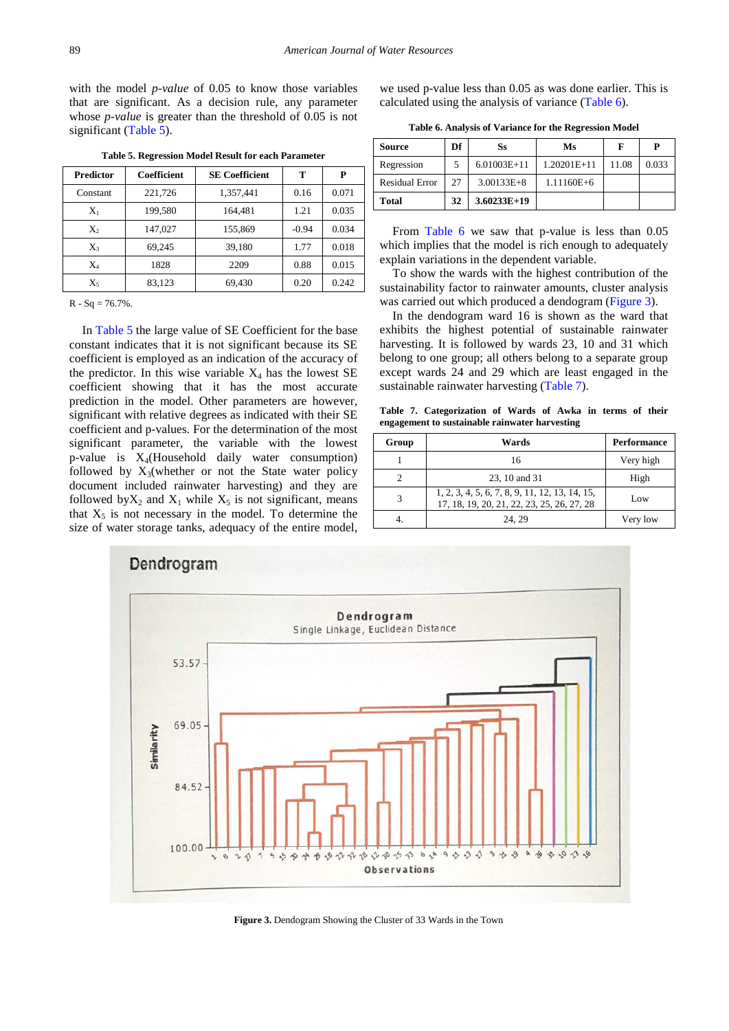with the model *p-value* of 0.05 to know those variables that are significant. As a decision rule, any parameter whose *p-value* is greater than the threshold of 0.05 is not significant [\(Table 5\)](#page-4-0).

<span id="page-4-0"></span>

| <b>Predictor</b> | Coefficient | <b>SE Coefficient</b> | т       | P     |
|------------------|-------------|-----------------------|---------|-------|
| Constant         | 221.726     | 1,357,441             | 0.16    | 0.071 |
| $X_1$            | 199,580     | 164,481               | 1.21    | 0.035 |
| $X_2$            | 147,027     | 155,869               | $-0.94$ | 0.034 |
| $X_3$            | 69.245      | 39.180                | 1.77    | 0.018 |
| $X_4$            | 1828        | 2209                  | 0.88    | 0.015 |
| X5               | 83,123      | 69,430                | 0.20    | 0.242 |

**Table 5. Regression Model Result for each Parameter** 

 $R - Sq = 76.7\%$ .

In [Table 5](#page-4-0) the large value of SE Coefficient for the base constant indicates that it is not significant because its SE coefficient is employed as an indication of the accuracy of the predictor. In this wise variable  $X_4$  has the lowest SE coefficient showing that it has the most accurate prediction in the model. Other parameters are however, significant with relative degrees as indicated with their SE coefficient and p-values. For the determination of the most significant parameter, the variable with the lowest p-value is  $X_4$ (Household daily water consumption) followed by  $X_3$ (whether or not the State water policy document included rainwater harvesting) and they are followed by  $X_2$  and  $X_1$  while  $X_5$  is not significant, means that  $X_5$  is not necessary in the model. To determine the size of water storage tanks, adequacy of the entire model,

we used p-value less than 0.05 as was done earlier. This is calculated using the analysis of variance [\(Table 6\)](#page-4-1).

<span id="page-4-1"></span>

| Source                | Df | Ss             | Ms             | F     | Р     |
|-----------------------|----|----------------|----------------|-------|-------|
| Regression            |    | $6.01003E+11$  | 1.20201E+11    | 11.08 | 0.033 |
| <b>Residual Error</b> | 27 | $3.00133E + 8$ | $1.11160E + 6$ |       |       |
| Total                 | 32 | $3.60233E+19$  |                |       |       |

From [Table 6](#page-4-1) we saw that p-value is less than 0.05 which implies that the model is rich enough to adequately explain variations in the dependent variable.

To show the wards with the highest contribution of the sustainability factor to rainwater amounts, cluster analysis was carried out which produced a dendogram [\(Figure 3\)](#page-4-2).

In the dendogram ward 16 is shown as the ward that exhibits the highest potential of sustainable rainwater harvesting. It is followed by wards 23, 10 and 31 which belong to one group; all others belong to a separate group except wards 24 and 29 which are least engaged in the sustainable rainwater harvesting [\(Table 7\)](#page-4-3).

**Table 7. Categorization of Wards of Awka in terms of their engagement to sustainable rainwater harvesting**

<span id="page-4-3"></span>

| Group | Wards                                                                                        | <b>Performance</b> |
|-------|----------------------------------------------------------------------------------------------|--------------------|
|       | 16                                                                                           | Very high          |
|       | 23, 10 and 31                                                                                | High               |
|       | 1, 2, 3, 4, 5, 6, 7, 8, 9, 11, 12, 13, 14, 15,<br>17, 18, 19, 20, 21, 22, 23, 25, 26, 27, 28 | Low                |
|       | 24.29                                                                                        | Very low           |

<span id="page-4-2"></span>

**Figure 3.** Dendogram Showing the Cluster of 33 Wards in the Town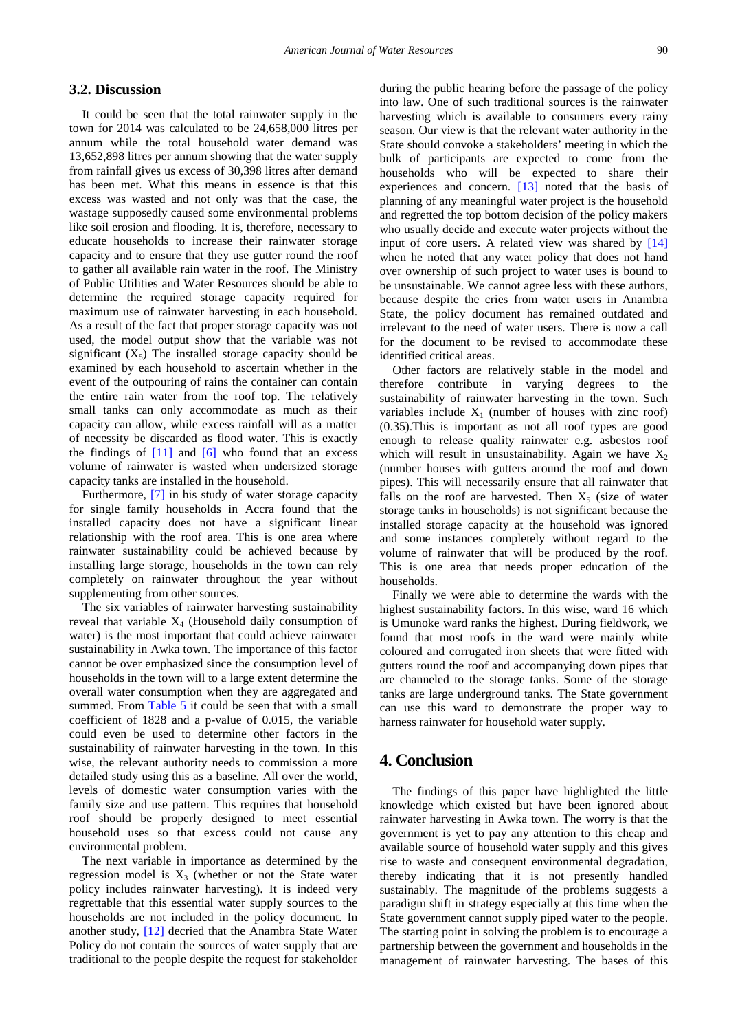#### **3.2. Discussion**

It could be seen that the total rainwater supply in the town for 2014 was calculated to be 24,658,000 litres per annum while the total household water demand was 13,652,898 litres per annum showing that the water supply from rainfall gives us excess of 30,398 litres after demand has been met. What this means in essence is that this excess was wasted and not only was that the case, the wastage supposedly caused some environmental problems like soil erosion and flooding. It is, therefore, necessary to educate households to increase their rainwater storage capacity and to ensure that they use gutter round the roof to gather all available rain water in the roof. The Ministry of Public Utilities and Water Resources should be able to determine the required storage capacity required for maximum use of rainwater harvesting in each household. As a result of the fact that proper storage capacity was not used, the model output show that the variable was not significant  $(X_5)$  The installed storage capacity should be examined by each household to ascertain whether in the event of the outpouring of rains the container can contain the entire rain water from the roof top. The relatively small tanks can only accommodate as much as their capacity can allow, while excess rainfall will as a matter of necessity be discarded as flood water. This is exactly the findings of  $[11]$  and  $[6]$  who found that an excess volume of rainwater is wasted when undersized storage capacity tanks are installed in the household.

Furthermore, [\[7\]](#page-6-8) in his study of water storage capacity for single family households in Accra found that the installed capacity does not have a significant linear relationship with the roof area. This is one area where rainwater sustainability could be achieved because by installing large storage, households in the town can rely completely on rainwater throughout the year without supplementing from other sources.

The six variables of rainwater harvesting sustainability reveal that variable  $X_4$  (Household daily consumption of water) is the most important that could achieve rainwater sustainability in Awka town. The importance of this factor cannot be over emphasized since the consumption level of households in the town will to a large extent determine the overall water consumption when they are aggregated and summed. From [Table 5](#page-4-0) it could be seen that with a small coefficient of 1828 and a p-value of 0.015, the variable could even be used to determine other factors in the sustainability of rainwater harvesting in the town. In this wise, the relevant authority needs to commission a more detailed study using this as a baseline. All over the world, levels of domestic water consumption varies with the family size and use pattern. This requires that household roof should be properly designed to meet essential household uses so that excess could not cause any environmental problem.

The next variable in importance as determined by the regression model is  $X_3$  (whether or not the State water policy includes rainwater harvesting). It is indeed very regrettable that this essential water supply sources to the households are not included in the policy document. In another study, [\[12\]](#page-6-9) decried that the Anambra State Water Policy do not contain the sources of water supply that are traditional to the people despite the request for stakeholder during the public hearing before the passage of the policy into law. One of such traditional sources is the rainwater harvesting which is available to consumers every rainy season. Our view is that the relevant water authority in the State should convoke a stakeholders' meeting in which the bulk of participants are expected to come from the households who will be expected to share their experiences and concern. [\[13\]](#page-6-10) noted that the basis of planning of any meaningful water project is the household and regretted the top bottom decision of the policy makers who usually decide and execute water projects without the input of core users. A related view was shared by [\[14\]](#page-6-11) when he noted that any water policy that does not hand over ownership of such project to water uses is bound to be unsustainable. We cannot agree less with these authors, because despite the cries from water users in Anambra State, the policy document has remained outdated and irrelevant to the need of water users. There is now a call for the document to be revised to accommodate these identified critical areas.

Other factors are relatively stable in the model and therefore contribute in varying degrees to the sustainability of rainwater harvesting in the town. Such variables include  $X_1$  (number of houses with zinc roof) (0.35).This is important as not all roof types are good enough to release quality rainwater e.g. asbestos roof which will result in unsustainability. Again we have  $X_2$ (number houses with gutters around the roof and down pipes). This will necessarily ensure that all rainwater that falls on the roof are harvested. Then  $X_5$  (size of water storage tanks in households) is not significant because the installed storage capacity at the household was ignored and some instances completely without regard to the volume of rainwater that will be produced by the roof. This is one area that needs proper education of the households.

Finally we were able to determine the wards with the highest sustainability factors. In this wise, ward 16 which is Umunoke ward ranks the highest. During fieldwork, we found that most roofs in the ward were mainly white coloured and corrugated iron sheets that were fitted with gutters round the roof and accompanying down pipes that are channeled to the storage tanks. Some of the storage tanks are large underground tanks. The State government can use this ward to demonstrate the proper way to harness rainwater for household water supply.

## **4. Conclusion**

The findings of this paper have highlighted the little knowledge which existed but have been ignored about rainwater harvesting in Awka town. The worry is that the government is yet to pay any attention to this cheap and available source of household water supply and this gives rise to waste and consequent environmental degradation, thereby indicating that it is not presently handled sustainably. The magnitude of the problems suggests a paradigm shift in strategy especially at this time when the State government cannot supply piped water to the people. The starting point in solving the problem is to encourage a partnership between the government and households in the management of rainwater harvesting. The bases of this